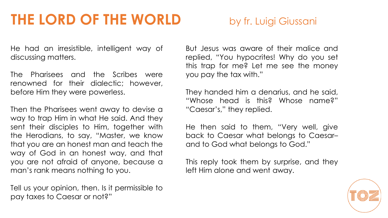# **THE LORD OF THE WORLD** by fr. Luigi Giussani

He had an irresistible, intelligent way of discussing matters.

The Pharisees and the Scribes were renowned for their dialectic; however, before Him they were powerless.

Then the Pharisees went away to devise a way to trap Him in what He said. And they sent their disciples to Him, together with the Herodians, to say, "Master, we know that you are an honest man and teach the way of God in an honest way, and that you are not afraid of anyone, because a man's rank means nothing to you.

Tell us your opinion, then. Is it permissible to pay taxes to Caesar or not?"

But Jesus was aware of their malice and replied, "You hypocrites! Why do you set this trap for me? Let me see the money you pay the tax with."

They handed him a denarius, and he said, "Whose head is this? Whose name?" "Caesar's," they replied.

He then said to them, "Very well, give back to Caesar what belongs to Caesar– and to God what belongs to God."

This reply took them by surprise, and they left Him alone and went away.

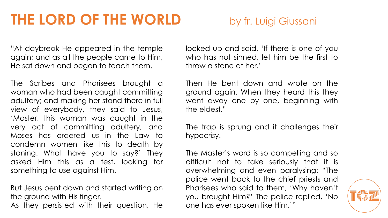## **THE LORD OF THE WORLD** by fr. Luigi Giussani

"At daybreak He appeared in the temple again; and as all the people came to Him, He sat down and began to teach them.

The Scribes and Pharisees brought a woman who had been caught committing adultery; and making her stand there in full view of everybody, they said to Jesus, 'Master, this woman was caught in the very act of committing adultery, and Moses has ordered us in the Law to condemn women like this to death by stoning. What have you to say?' They asked Him this as a test, looking for something to use against Him.

But Jesus bent down and started writing on the ground with His finger.

As they persisted with their question, He

looked up and said, 'If there is one of you who has not sinned, let him be the first to throw a stone at her.'

Then He bent down and wrote on the ground again. When they heard this they went away one by one, beginning with the eldest."

The trap is sprung and it challenges their hypocrisy.

The Master's word is so compelling and so difficult not to take seriously that it is overwhelming and even paralysing: "The police went back to the chief priests and Pharisees who said to them, 'Why haven't you brought Him?' The police replied, 'No one has ever spoken like Him.'"

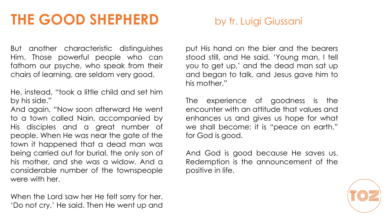# **THE GOOD SHEPHERD** by fr. Luigi Giussani

But another characteristic distinguishes Him. Those powerful people who can fathom our psyche, who speak from their chairs of learning, are seldom very good.

He, instead, "took a little child and set him by his side."

And again, "Now soon afterward He went to a town called Nain, accompanied by His disciples and a great number of people. When He was near the gate of the town it happened that a dead man was being carried out for burial, the only son of his mother, and she was a widow. And a considerable number of the townspeople were with her.

When the Lord saw her He felt sorry for her. 'Do not cry,' He said. Then He went up and

put His hand on the bier and the bearers stood still, and He said, 'Young man, I tell you to get up,' and the dead man sat up and began to talk, and Jesus gave him to his mother."

The experience of goodness is the encounter with an attitude that values and enhances us and gives us hope for what we shall become; it is "peace on earth," for God is good.

And God is good because He saves us. Redemption is the announcement of the positive in life.